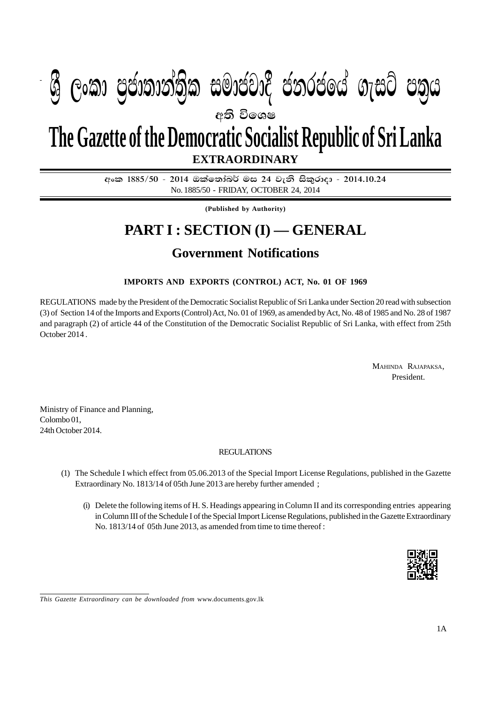## I **fldgi ( ^**I**& fPoh - Y S % ,xld m %cd;dk a; s %l iudcjd§ ckrcfh a w; s úfYI .eiÜ m; %h - 2014'10'24** PART I : SEC. (I) - GAZETTE EXTRAORDINARY OF SANTA SOCIALIST REPUBLIC OF SANTA SOCIALIST REPUBLIC OF SANTA SOC **අති වි**ගෙෂ **EXTRAORDINARY The Gazette of the Democratic Socialist Republic of Sri Lanka W Geibrea, mocdic charge in cold m**

අංක 1885/50 - 2014 ඔක්තෝබර් මස 24 වැනි සිකුරාදා - 2014.10.24 No. 1885/50 - FRIDAY, OCTOBER 24, 2014

**(Published by Authority)**

# **PART I : SECTION (I) — GENERAL**

## **Government Notifications**

## **IMPORTS AND EXPORTS (CONTROL) ACT, No. 01 OF 1969**

REGULATIONS made by the President of the Democratic Socialist Republic of Sri Lanka under Section 20 read with subsection (3) of Section 14 of the Imports and Exports (Control) Act, No. 01 of 1969, as amended by Act, No. 48 of 1985 and No. 28 of 1987 and paragraph (2) of article 44 of the Constitution of the Democratic Socialist Republic of Sri Lanka, with effect from 25th October 2014 .

> MAHINDA RAJAPAKSA, President.

Ministry of Finance and Planning, Colombo 01, 24th October 2014.

### REGULATIONS

- (1) The Schedule I which effect from 05.06.2013 of the Special Import License Regulations, published in the Gazette Extraordinary No. 1813/14 of 05th June 2013 are hereby further amended ;
	- (i) Delete the following items of H. S. Headings appearing in Column II and its corresponding entries appearing in Column III of the Schedule I of the Special Import License Regulations, published in the Gazette Extraordinary No. 1813/14 of 05th June 2013, as amended from time to time thereof :



*This Gazette Extraordinary can be downloaded from* www.documents.gov.lk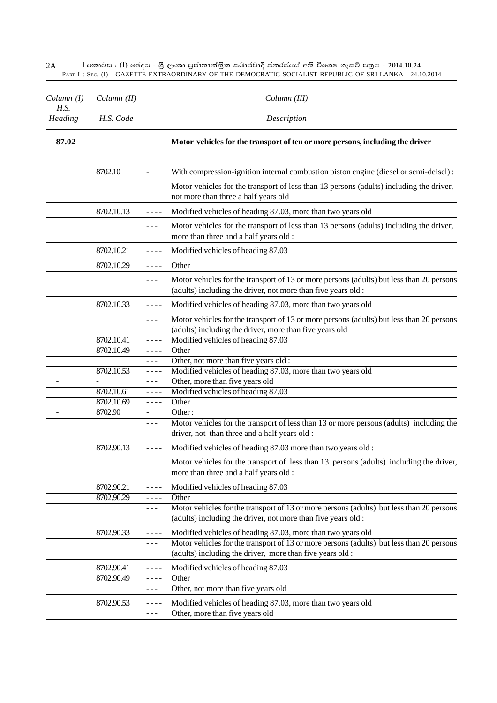#### $\rm I$  කොටස : ( $\rm I$ ) ඡෙදය - ශුී ලංකා පුජාතාන්තිුක සමාජවාදී ජනරජයේ අති විශෙෂ ගැසට් පතුය - 2014.10.24 PART I : SEC. (I) - GAZETTE EXTRAORDINARY OF THE DEMOCRATIC SOCIALIST REPUBLIC OF SRI LANKA - 24.10.2014 2A

| Column(I)<br>H.S. | Column (II)              |                | Column (III)                                                                                                                                              |
|-------------------|--------------------------|----------------|-----------------------------------------------------------------------------------------------------------------------------------------------------------|
| Heading           | H.S. Code                |                | Description                                                                                                                                               |
| 87.02             |                          |                | Motor vehicles for the transport of ten or more persons, including the driver                                                                             |
|                   | 8702.10                  | L,             | With compression-ignition internal combustion piston engine (diesel or semi-deisel):                                                                      |
|                   |                          | $- - -$        | Motor vehicles for the transport of less than 13 persons (adults) including the driver,<br>not more than three a half years old                           |
|                   | 8702.10.13               | ----           | Modified vehicles of heading 87.03, more than two years old                                                                                               |
|                   |                          | $- - -$        | Motor vehicles for the transport of less than 13 persons (adults) including the driver,<br>more than three and a half years old :                         |
|                   | 8702.10.21               | ----           | Modified vehicles of heading 87.03                                                                                                                        |
|                   | 8702.10.29               | ----           | Other                                                                                                                                                     |
|                   |                          | ---            | Motor vehicles for the transport of 13 or more persons (adults) but less than 20 persons<br>(adults) including the driver, not more than five years old : |
|                   | 8702.10.33               | ----           | Modified vehicles of heading 87.03, more than two years old                                                                                               |
|                   |                          | ---            | Motor vehicles for the transport of 13 or more persons (adults) but less than 20 persons<br>(adults) including the driver, more than five years old       |
|                   | 8702.10.41               | ----           | Modified vehicles of heading 87.03                                                                                                                        |
|                   | 8702.10.49               | ----           | Other                                                                                                                                                     |
|                   |                          | ---            | Other, not more than five years old :                                                                                                                     |
|                   | 8702.10.53               | ----           | Modified vehicles of heading 87.03, more than two years old                                                                                               |
|                   |                          | $- - -$        | Other, more than five years old                                                                                                                           |
|                   | 8702.10.61<br>8702.10.69 | ----           | Modified vehicles of heading 87.03<br>Other                                                                                                               |
|                   | 8702.90                  | $- - - -$<br>÷ | Other:                                                                                                                                                    |
|                   |                          | $- - -$        | Motor vehicles for the transport of less than 13 or more persons (adults) including the<br>driver, not than three and a half years old :                  |
|                   | 8702.90.13               | ----           | Modified vehicles of heading 87.03 more than two years old :                                                                                              |
|                   |                          |                | Motor vehicles for the transport of less than 13 persons (adults) including the driver,<br>more than three and a half years old :                         |
|                   | 8702.90.21               | ----           | Modified vehicles of heading 87.03                                                                                                                        |
|                   | 8702.90.29               | ----           | Other                                                                                                                                                     |
|                   |                          | $- - -$        | Motor vehicles for the transport of 13 or more persons (adults) but less than 20 persons<br>(adults) including the driver, not more than five years old : |
|                   | 8702.90.33               | ----           | Modified vehicles of heading 87.03, more than two years old                                                                                               |
|                   |                          | $- - -$        | Motor vehicles for the transport of 13 or more persons (adults) but less than 20 persons<br>(adults) including the driver, more than five years old:      |
|                   | 8702.90.41               | ----           | Modified vehicles of heading 87.03                                                                                                                        |
|                   | 8702.90.49               | ----           | Other                                                                                                                                                     |
|                   |                          | $- - -$        | Other, not more than five years old                                                                                                                       |
|                   | 8702.90.53               | ----           | Modified vehicles of heading 87.03, more than two years old                                                                                               |
|                   |                          | ---            | Other, more than five years old                                                                                                                           |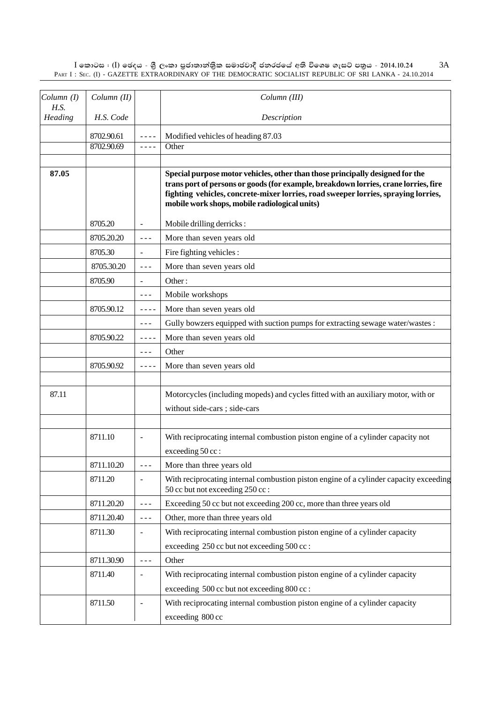$\rm I$  කොටස : ( $\rm I$ ) ඡෙදය - ශුී ලංකා පුජාතාන්තිුක සමාජවාදී ජනරජයේ අති විශෙෂ ගැසට් පතුය - 2014.10.24 PART I : SEC. (I) - GAZETTE EXTRAORDINARY OF THE DEMOCRATIC SOCIALIST REPUBLIC OF SRI LANKA - 24.10.2014 3A

| Column(I)       | Column (II) |                                                                                                                                                                                                                                                                                                                                                                                              | Column (III)                                                                                                                                                                                                                                                                                                |
|-----------------|-------------|----------------------------------------------------------------------------------------------------------------------------------------------------------------------------------------------------------------------------------------------------------------------------------------------------------------------------------------------------------------------------------------------|-------------------------------------------------------------------------------------------------------------------------------------------------------------------------------------------------------------------------------------------------------------------------------------------------------------|
| H.S.<br>Heading | H.S. Code   |                                                                                                                                                                                                                                                                                                                                                                                              | Description                                                                                                                                                                                                                                                                                                 |
|                 | 8702.90.61  |                                                                                                                                                                                                                                                                                                                                                                                              | Modified vehicles of heading 87.03                                                                                                                                                                                                                                                                          |
|                 | 8702.90.69  | $\sim$ $\sim$ $\sim$ $\sim$                                                                                                                                                                                                                                                                                                                                                                  | Other                                                                                                                                                                                                                                                                                                       |
|                 |             |                                                                                                                                                                                                                                                                                                                                                                                              |                                                                                                                                                                                                                                                                                                             |
| 87.05           |             |                                                                                                                                                                                                                                                                                                                                                                                              | Special purpose motor vehicles, other than those principally designed for the<br>trans port of persons or goods (for example, breakdown lorries, crane lorries, fire<br>fighting vehicles, concrete-mixer lorries, road sweeper lorries, spraying lorries,<br>mobile work shops, mobile radiological units) |
|                 | 8705.20     |                                                                                                                                                                                                                                                                                                                                                                                              | Mobile drilling derricks:                                                                                                                                                                                                                                                                                   |
|                 | 8705.20.20  | $\sim$ $\sim$ $\sim$                                                                                                                                                                                                                                                                                                                                                                         | More than seven years old                                                                                                                                                                                                                                                                                   |
|                 | 8705.30     | $\overline{\phantom{a}}$                                                                                                                                                                                                                                                                                                                                                                     | Fire fighting vehicles :                                                                                                                                                                                                                                                                                    |
|                 | 8705.30.20  | $\frac{1}{2} \frac{1}{2} \frac{1}{2} \frac{1}{2} \frac{1}{2} \frac{1}{2} \frac{1}{2} \frac{1}{2} \frac{1}{2} \frac{1}{2} \frac{1}{2} \frac{1}{2} \frac{1}{2} \frac{1}{2} \frac{1}{2} \frac{1}{2} \frac{1}{2} \frac{1}{2} \frac{1}{2} \frac{1}{2} \frac{1}{2} \frac{1}{2} \frac{1}{2} \frac{1}{2} \frac{1}{2} \frac{1}{2} \frac{1}{2} \frac{1}{2} \frac{1}{2} \frac{1}{2} \frac{1}{2} \frac{$ | More than seven years old                                                                                                                                                                                                                                                                                   |
|                 | 8705.90     |                                                                                                                                                                                                                                                                                                                                                                                              | Other:                                                                                                                                                                                                                                                                                                      |
|                 |             | $\frac{1}{2} \frac{1}{2} \frac{1}{2} \frac{1}{2} \frac{1}{2} \frac{1}{2} \frac{1}{2} \frac{1}{2} \frac{1}{2} \frac{1}{2} \frac{1}{2} \frac{1}{2} \frac{1}{2} \frac{1}{2} \frac{1}{2} \frac{1}{2} \frac{1}{2} \frac{1}{2} \frac{1}{2} \frac{1}{2} \frac{1}{2} \frac{1}{2} \frac{1}{2} \frac{1}{2} \frac{1}{2} \frac{1}{2} \frac{1}{2} \frac{1}{2} \frac{1}{2} \frac{1}{2} \frac{1}{2} \frac{$ | Mobile workshops                                                                                                                                                                                                                                                                                            |
|                 | 8705.90.12  | $- - - -$                                                                                                                                                                                                                                                                                                                                                                                    | More than seven years old                                                                                                                                                                                                                                                                                   |
|                 |             | $\sim$ $\sim$ $\sim$                                                                                                                                                                                                                                                                                                                                                                         | Gully bowzers equipped with suction pumps for extracting sewage water/wastes :                                                                                                                                                                                                                              |
|                 | 8705.90.22  | $\frac{1}{2} \frac{1}{2} \frac{1}{2} \frac{1}{2} \frac{1}{2} \frac{1}{2} \frac{1}{2} \frac{1}{2} \frac{1}{2} \frac{1}{2} \frac{1}{2} \frac{1}{2} \frac{1}{2} \frac{1}{2} \frac{1}{2} \frac{1}{2} \frac{1}{2} \frac{1}{2} \frac{1}{2} \frac{1}{2} \frac{1}{2} \frac{1}{2} \frac{1}{2} \frac{1}{2} \frac{1}{2} \frac{1}{2} \frac{1}{2} \frac{1}{2} \frac{1}{2} \frac{1}{2} \frac{1}{2} \frac{$ | More than seven years old                                                                                                                                                                                                                                                                                   |
|                 |             | $\frac{1}{2} \frac{1}{2} \frac{1}{2} \frac{1}{2} \frac{1}{2} \frac{1}{2} \frac{1}{2} \frac{1}{2} \frac{1}{2} \frac{1}{2} \frac{1}{2} \frac{1}{2} \frac{1}{2} \frac{1}{2} \frac{1}{2} \frac{1}{2} \frac{1}{2} \frac{1}{2} \frac{1}{2} \frac{1}{2} \frac{1}{2} \frac{1}{2} \frac{1}{2} \frac{1}{2} \frac{1}{2} \frac{1}{2} \frac{1}{2} \frac{1}{2} \frac{1}{2} \frac{1}{2} \frac{1}{2} \frac{$ | Other                                                                                                                                                                                                                                                                                                       |
|                 | 8705.90.92  | $\frac{1}{2} \frac{1}{2} \frac{1}{2} \frac{1}{2} \frac{1}{2} \frac{1}{2} \frac{1}{2} \frac{1}{2} \frac{1}{2} \frac{1}{2} \frac{1}{2} \frac{1}{2} \frac{1}{2} \frac{1}{2} \frac{1}{2} \frac{1}{2} \frac{1}{2} \frac{1}{2} \frac{1}{2} \frac{1}{2} \frac{1}{2} \frac{1}{2} \frac{1}{2} \frac{1}{2} \frac{1}{2} \frac{1}{2} \frac{1}{2} \frac{1}{2} \frac{1}{2} \frac{1}{2} \frac{1}{2} \frac{$ | More than seven years old                                                                                                                                                                                                                                                                                   |
| 87.11           |             |                                                                                                                                                                                                                                                                                                                                                                                              | Motorcycles (including mopeds) and cycles fitted with an auxiliary motor, with or                                                                                                                                                                                                                           |
|                 |             |                                                                                                                                                                                                                                                                                                                                                                                              | without side-cars ; side-cars                                                                                                                                                                                                                                                                               |
|                 |             |                                                                                                                                                                                                                                                                                                                                                                                              |                                                                                                                                                                                                                                                                                                             |
|                 | 8711.10     | $\overline{\phantom{a}}$                                                                                                                                                                                                                                                                                                                                                                     | With reciprocating internal combustion piston engine of a cylinder capacity not<br>exceeding 50 cc:                                                                                                                                                                                                         |
|                 | 8711.10.20  | $\sim$ $\sim$ $\sim$                                                                                                                                                                                                                                                                                                                                                                         | More than three years old                                                                                                                                                                                                                                                                                   |
|                 | 8711.20     |                                                                                                                                                                                                                                                                                                                                                                                              | With reciprocating internal combustion piston engine of a cylinder capacity exceeding                                                                                                                                                                                                                       |
|                 |             |                                                                                                                                                                                                                                                                                                                                                                                              | 50 cc but not exceeding 250 cc:                                                                                                                                                                                                                                                                             |
|                 | 8711.20.20  | $\frac{1}{2} \frac{1}{2} \frac{1}{2} \frac{1}{2} \frac{1}{2} \frac{1}{2} \frac{1}{2} \frac{1}{2} \frac{1}{2} \frac{1}{2} \frac{1}{2} \frac{1}{2} \frac{1}{2} \frac{1}{2} \frac{1}{2} \frac{1}{2} \frac{1}{2} \frac{1}{2} \frac{1}{2} \frac{1}{2} \frac{1}{2} \frac{1}{2} \frac{1}{2} \frac{1}{2} \frac{1}{2} \frac{1}{2} \frac{1}{2} \frac{1}{2} \frac{1}{2} \frac{1}{2} \frac{1}{2} \frac{$ | Exceeding 50 cc but not exceeding 200 cc, more than three years old                                                                                                                                                                                                                                         |
|                 | 8711.20.40  | $\frac{1}{2} \frac{1}{2} \frac{1}{2} \frac{1}{2} \frac{1}{2} \frac{1}{2} \frac{1}{2} \frac{1}{2} \frac{1}{2} \frac{1}{2} \frac{1}{2} \frac{1}{2} \frac{1}{2} \frac{1}{2} \frac{1}{2} \frac{1}{2} \frac{1}{2} \frac{1}{2} \frac{1}{2} \frac{1}{2} \frac{1}{2} \frac{1}{2} \frac{1}{2} \frac{1}{2} \frac{1}{2} \frac{1}{2} \frac{1}{2} \frac{1}{2} \frac{1}{2} \frac{1}{2} \frac{1}{2} \frac{$ | Other, more than three years old                                                                                                                                                                                                                                                                            |
|                 | 8711.30     |                                                                                                                                                                                                                                                                                                                                                                                              | With reciprocating internal combustion piston engine of a cylinder capacity                                                                                                                                                                                                                                 |
|                 |             |                                                                                                                                                                                                                                                                                                                                                                                              | exceeding 250 cc but not exceeding 500 cc:                                                                                                                                                                                                                                                                  |
|                 | 8711.30.90  | $\frac{1}{2}$                                                                                                                                                                                                                                                                                                                                                                                | Other                                                                                                                                                                                                                                                                                                       |
|                 | 8711.40     | $\overline{a}$                                                                                                                                                                                                                                                                                                                                                                               | With reciprocating internal combustion piston engine of a cylinder capacity                                                                                                                                                                                                                                 |
|                 |             |                                                                                                                                                                                                                                                                                                                                                                                              | exceeding 500 cc but not exceeding 800 cc:                                                                                                                                                                                                                                                                  |
|                 | 8711.50     |                                                                                                                                                                                                                                                                                                                                                                                              | With reciprocating internal combustion piston engine of a cylinder capacity                                                                                                                                                                                                                                 |
|                 |             |                                                                                                                                                                                                                                                                                                                                                                                              | exceeding 800 cc                                                                                                                                                                                                                                                                                            |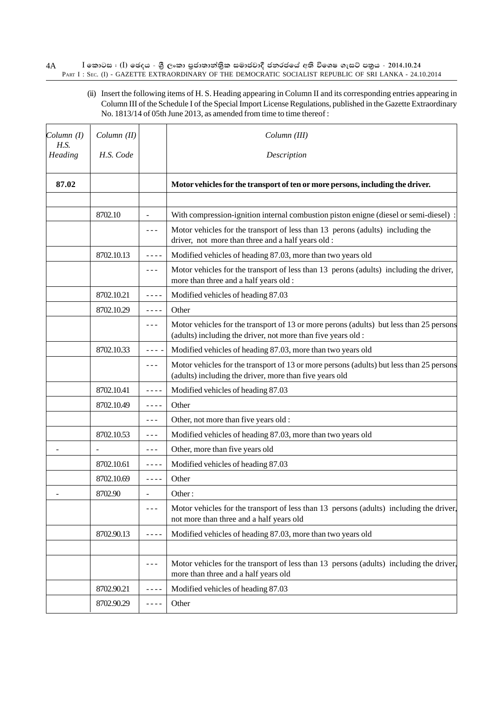### $I$  කොටස : (I) ඡෙදය - ශුී ලංකා පුජාතාන්තිුක සමාජවාදී ජනරජයේ අති විශෙෂ ගැසට් පතුය - 2014.10.24 PART I : SEC. (I) - GAZETTE EXTRAORDINARY OF THE DEMOCRATIC SOCIALIST REPUBLIC OF SRI LANKA - 24.10.2014 4A

(ii) Insert the following items of H. S. Heading appearing in Column II and its corresponding entries appearing in Column III of the Schedule I of the Special Import License Regulations, published in the Gazette Extraordinary No. 1813/14 of 05th June 2013, as amended from time to time thereof :

| Column (I)<br>H.S. | Column (II) |                                                                                                                                                                                                                                                                                                                                                                                              | Column (III)                                                                                                                                             |
|--------------------|-------------|----------------------------------------------------------------------------------------------------------------------------------------------------------------------------------------------------------------------------------------------------------------------------------------------------------------------------------------------------------------------------------------------|----------------------------------------------------------------------------------------------------------------------------------------------------------|
| Heading            | H.S. Code   |                                                                                                                                                                                                                                                                                                                                                                                              | Description                                                                                                                                              |
| 87.02              |             |                                                                                                                                                                                                                                                                                                                                                                                              | Motor vehicles for the transport of ten or more persons, including the driver.                                                                           |
|                    |             |                                                                                                                                                                                                                                                                                                                                                                                              |                                                                                                                                                          |
|                    | 8702.10     |                                                                                                                                                                                                                                                                                                                                                                                              | With compression-ignition internal combustion piston enigne (diesel or semi-diesel)                                                                      |
|                    |             | ---                                                                                                                                                                                                                                                                                                                                                                                          | Motor vehicles for the transport of less than 13 perons (adults) including the<br>driver, not more than three and a half years old :                     |
|                    | 8702.10.13  |                                                                                                                                                                                                                                                                                                                                                                                              | Modified vehicles of heading 87.03, more than two years old                                                                                              |
|                    |             | $\sim$ $\sim$ $\sim$                                                                                                                                                                                                                                                                                                                                                                         | Motor vehicles for the transport of less than 13 perons (adults) including the driver,<br>more than three and a half years old :                         |
|                    | 8702.10.21  |                                                                                                                                                                                                                                                                                                                                                                                              | Modified vehicles of heading 87.03                                                                                                                       |
|                    | 8702.10.29  | $- - - -$                                                                                                                                                                                                                                                                                                                                                                                    | Other                                                                                                                                                    |
|                    |             | $- - -$                                                                                                                                                                                                                                                                                                                                                                                      | Motor vehicles for the transport of 13 or more perons (adults) but less than 25 persons<br>(adults) including the driver, not more than five years old : |
|                    | 8702.10.33  |                                                                                                                                                                                                                                                                                                                                                                                              | Modified vehicles of heading 87.03, more than two years old                                                                                              |
|                    |             | $- - -$                                                                                                                                                                                                                                                                                                                                                                                      | Motor vehicles for the transport of 13 or more persons (adults) but less than 25 persons<br>(adults) including the driver, more than five years old      |
|                    | 8702.10.41  | ----                                                                                                                                                                                                                                                                                                                                                                                         | Modified vehicles of heading 87.03                                                                                                                       |
|                    | 8702.10.49  | $- - - -$                                                                                                                                                                                                                                                                                                                                                                                    | Other                                                                                                                                                    |
|                    |             | $\frac{1}{2} \frac{1}{2} \frac{1}{2} \frac{1}{2} \frac{1}{2} \frac{1}{2} \frac{1}{2} \frac{1}{2} \frac{1}{2} \frac{1}{2} \frac{1}{2} \frac{1}{2} \frac{1}{2} \frac{1}{2} \frac{1}{2} \frac{1}{2} \frac{1}{2} \frac{1}{2} \frac{1}{2} \frac{1}{2} \frac{1}{2} \frac{1}{2} \frac{1}{2} \frac{1}{2} \frac{1}{2} \frac{1}{2} \frac{1}{2} \frac{1}{2} \frac{1}{2} \frac{1}{2} \frac{1}{2} \frac{$ | Other, not more than five years old :                                                                                                                    |
|                    | 8702.10.53  | $- - -$                                                                                                                                                                                                                                                                                                                                                                                      | Modified vehicles of heading 87.03, more than two years old                                                                                              |
|                    |             | $- - -$                                                                                                                                                                                                                                                                                                                                                                                      | Other, more than five years old                                                                                                                          |
|                    | 8702.10.61  | $- - - -$                                                                                                                                                                                                                                                                                                                                                                                    | Modified vehicles of heading 87.03                                                                                                                       |
|                    | 8702.10.69  | $\frac{1}{2}$                                                                                                                                                                                                                                                                                                                                                                                | Other                                                                                                                                                    |
|                    | 8702.90     |                                                                                                                                                                                                                                                                                                                                                                                              | Other:                                                                                                                                                   |
|                    |             | ---                                                                                                                                                                                                                                                                                                                                                                                          | Motor vehicles for the transport of less than 13 persons (adults) including the driver,<br>not more than three and a half years old                      |
|                    | 8702.90.13  | $- - - -$                                                                                                                                                                                                                                                                                                                                                                                    | Modified vehicles of heading 87.03, more than two years old                                                                                              |
|                    |             |                                                                                                                                                                                                                                                                                                                                                                                              |                                                                                                                                                          |
|                    |             | ---                                                                                                                                                                                                                                                                                                                                                                                          | Motor vehicles for the transport of less than 13 persons (adults) including the driver,<br>more than three and a half years old                          |
|                    | 8702.90.21  | ----                                                                                                                                                                                                                                                                                                                                                                                         | Modified vehicles of heading 87.03                                                                                                                       |
|                    | 8702.90.29  | ----                                                                                                                                                                                                                                                                                                                                                                                         | Other                                                                                                                                                    |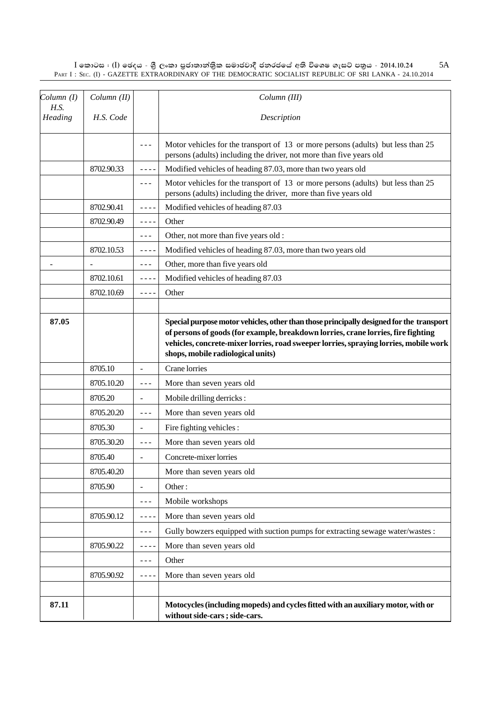$\rm I$  කොටස : ( $\rm I$ ) ඡෙදය - ශුී ලංකා පුජාතාන්තිුක සමාජවාදී ජනරජයේ අති විශෙෂ ගැසට් පතුය - 2014.10.24 PART I : SEC. (I) - GAZETTE EXTRAORDINARY OF THE DEMOCRATIC SOCIALIST REPUBLIC OF SRI LANKA - 24.10.2014 5A

| Column(I)<br>H.S. | Column (II) |                          | Column (III)                                                                                                                                                                                                                                                                                               |
|-------------------|-------------|--------------------------|------------------------------------------------------------------------------------------------------------------------------------------------------------------------------------------------------------------------------------------------------------------------------------------------------------|
| Heading           | H.S. Code   |                          | Description                                                                                                                                                                                                                                                                                                |
|                   |             |                          | Motor vehicles for the transport of 13 or more persons (adults) but less than 25<br>persons (adults) including the driver, not more than five years old                                                                                                                                                    |
|                   | 8702.90.33  | $- - - -$                | Modified vehicles of heading 87.03, more than two years old                                                                                                                                                                                                                                                |
|                   |             | $- - -$                  | Motor vehicles for the transport of 13 or more persons (adults) but less than 25<br>persons (adults) including the driver, more than five years old                                                                                                                                                        |
|                   | 8702.90.41  | $- - - -$                | Modified vehicles of heading 87.03                                                                                                                                                                                                                                                                         |
|                   | 8702.90.49  | $- - - -$                | Other                                                                                                                                                                                                                                                                                                      |
|                   |             | $- - -$                  | Other, not more than five years old :                                                                                                                                                                                                                                                                      |
|                   | 8702.10.53  | $- - - -$                | Modified vehicles of heading 87.03, more than two years old                                                                                                                                                                                                                                                |
|                   |             | ---                      | Other, more than five years old                                                                                                                                                                                                                                                                            |
|                   | 8702.10.61  | $- - -$                  | Modified vehicles of heading 87.03                                                                                                                                                                                                                                                                         |
|                   | 8702.10.69  | $- - - -$                | Other                                                                                                                                                                                                                                                                                                      |
|                   |             |                          |                                                                                                                                                                                                                                                                                                            |
| 87.05             |             |                          | Special purpose motor vehicles, other than those principally designed for the transport<br>of persons of goods (for example, breakdown lorries, crane lorries, fire fighting<br>vehicles, concrete-mixer lorries, road sweeper lorries, spraying lorries, mobile work<br>shops, mobile radiological units) |
|                   | 8705.10     | $\blacksquare$           | Crane lorries                                                                                                                                                                                                                                                                                              |
|                   | 8705.10.20  | $- - -$                  | More than seven years old                                                                                                                                                                                                                                                                                  |
|                   | 8705.20     | $\overline{\phantom{a}}$ | Mobile drilling derricks:                                                                                                                                                                                                                                                                                  |
|                   | 8705.20.20  | $- - -$                  | More than seven years old                                                                                                                                                                                                                                                                                  |
|                   | 8705.30     | $\overline{\phantom{a}}$ | Fire fighting vehicles :                                                                                                                                                                                                                                                                                   |
|                   | 8705.30.20  | ---                      | More than seven years old                                                                                                                                                                                                                                                                                  |
|                   | 8705.40     |                          | Concrete-mixer lorries                                                                                                                                                                                                                                                                                     |
|                   | 8705.40.20  |                          | More than seven years old                                                                                                                                                                                                                                                                                  |
|                   | 8705.90     |                          | Other:                                                                                                                                                                                                                                                                                                     |
|                   |             | $- - -$                  | Mobile workshops                                                                                                                                                                                                                                                                                           |
|                   | 8705.90.12  | ----                     | More than seven years old                                                                                                                                                                                                                                                                                  |
|                   |             | ---                      | Gully bowzers equipped with suction pumps for extracting sewage water/wastes :                                                                                                                                                                                                                             |
|                   | 8705.90.22  | ----                     | More than seven years old                                                                                                                                                                                                                                                                                  |
|                   |             | - - -                    | Other                                                                                                                                                                                                                                                                                                      |
|                   | 8705.90.92  | ----                     | More than seven years old                                                                                                                                                                                                                                                                                  |
|                   |             |                          |                                                                                                                                                                                                                                                                                                            |
| 87.11             |             |                          | Motocycles (including mopeds) and cycles fitted with an auxiliary motor, with or<br>without side-cars; side-cars.                                                                                                                                                                                          |